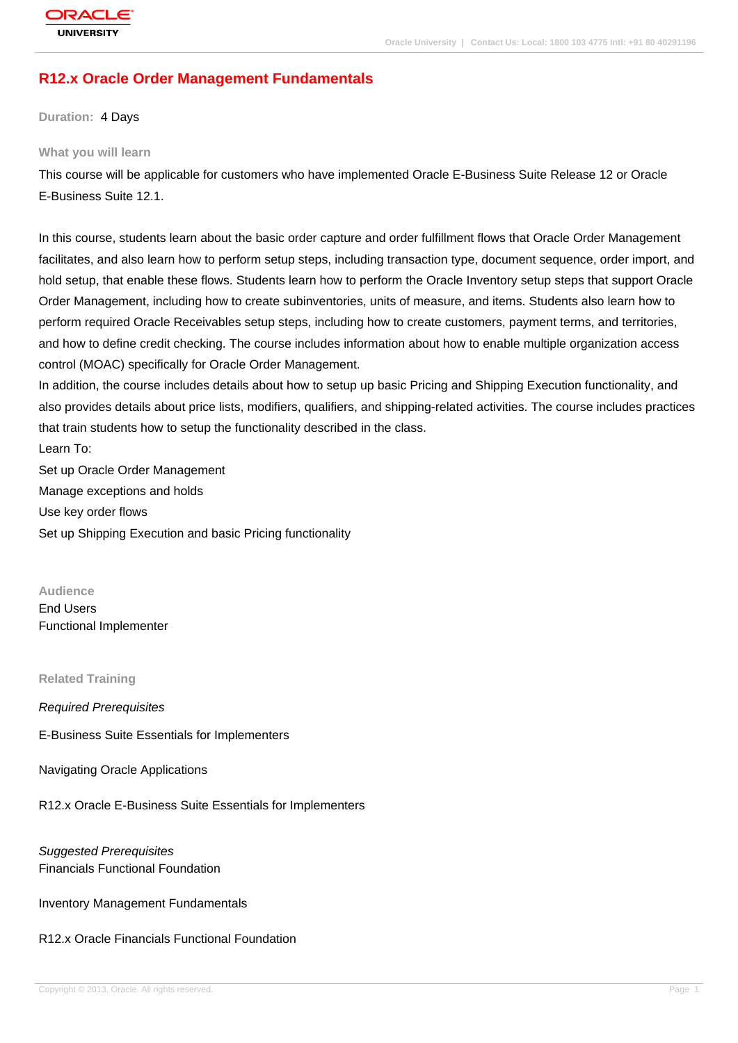# **R12.x Oracle Order Management Fundamentals**

**Duration:** 4 Days

#### **What you will learn**

This course will be applicable for customers who have implemented Oracle E-Business Suite Release 12 or Oracle E-Business Suite 12.1.

In this course, students learn about the basic order capture and order fulfillment flows that Oracle Order Management facilitates, and also learn how to perform setup steps, including transaction type, document sequence, order import, and hold setup, that enable these flows. Students learn how to perform the Oracle Inventory setup steps that support Oracle Order Management, including how to create subinventories, units of measure, and items. Students also learn how to perform required Oracle Receivables setup steps, including how to create customers, payment terms, and territories, and how to define credit checking. The course includes information about how to enable multiple organization access control (MOAC) specifically for Oracle Order Management.

In addition, the course includes details about how to setup up basic Pricing and Shipping Execution functionality, and also provides details about price lists, modifiers, qualifiers, and shipping-related activities. The course includes practices that train students how to setup the functionality described in the class.

Learn To:

Set up Oracle Order Management Manage exceptions and holds Use key order flows Set up Shipping Execution and basic Pricing functionality

**Audience** End Users Functional Implementer

#### **Related Training**

#### Required Prerequisites

E-Business Suite Essentials for Implementers

Navigating Oracle Applications

R12.x Oracle E-Business Suite Essentials for Implementers

# Suggested Prerequisites Financials Functional Foundation

Inventory Management Fundamentals

#### R12.x Oracle Financials Functional Foundation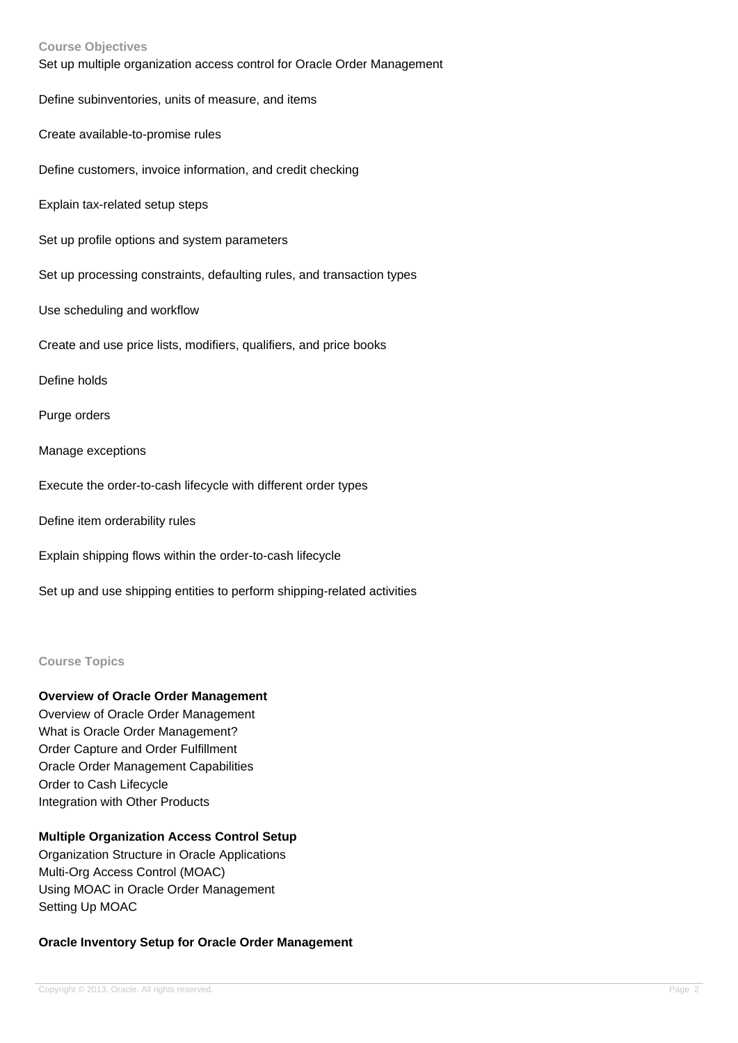| <b>Course Objectives</b><br>Set up multiple organization access control for Oracle Order Management |
|-----------------------------------------------------------------------------------------------------|
| Define subinventories, units of measure, and items                                                  |
| Create available-to-promise rules                                                                   |
| Define customers, invoice information, and credit checking                                          |
| Explain tax-related setup steps                                                                     |
| Set up profile options and system parameters                                                        |
| Set up processing constraints, defaulting rules, and transaction types                              |
| Use scheduling and workflow                                                                         |
| Create and use price lists, modifiers, qualifiers, and price books                                  |
| Define holds                                                                                        |
| Purge orders                                                                                        |
| Manage exceptions                                                                                   |
| Execute the order-to-cash lifecycle with different order types                                      |
| Define item orderability rules                                                                      |
| Explain shipping flows within the order-to-cash lifecycle                                           |
| Set up and use shipping entities to perform shipping-related activities                             |

### **Course Topics**

## **Overview of Oracle Order Management**

Overview of Oracle Order Management What is Oracle Order Management? Order Capture and Order Fulfillment Oracle Order Management Capabilities Order to Cash Lifecycle Integration with Other Products

# **Multiple Organization Access Control Setup**

Organization Structure in Oracle Applications Multi-Org Access Control (MOAC) Using MOAC in Oracle Order Management Setting Up MOAC

### **Oracle Inventory Setup for Oracle Order Management**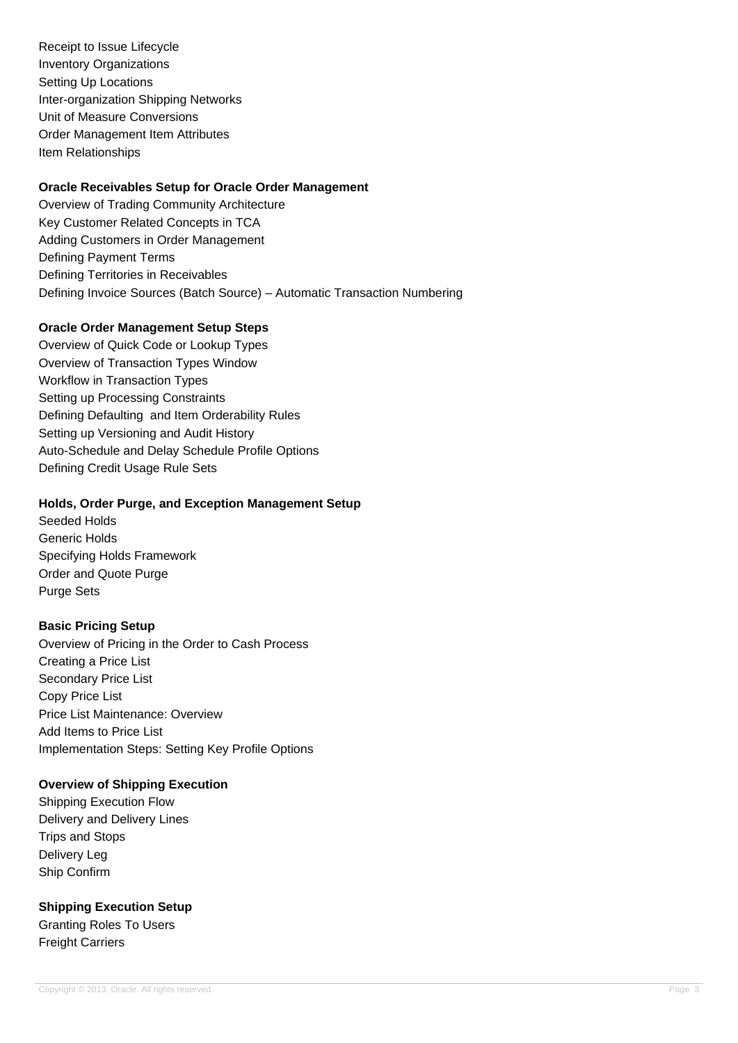Receipt to Issue Lifecycle Inventory Organizations Setting Up Locations Inter-organization Shipping Networks Unit of Measure Conversions Order Management Item Attributes Item Relationships

# **Oracle Receivables Setup for Oracle Order Management**

Overview of Trading Community Architecture Key Customer Related Concepts in TCA Adding Customers in Order Management Defining Payment Terms Defining Territories in Receivables Defining Invoice Sources (Batch Source) – Automatic Transaction Numbering

# **Oracle Order Management Setup Steps**

Overview of Quick Code or Lookup Types Overview of Transaction Types Window Workflow in Transaction Types Setting up Processing Constraints Defining Defaulting and Item Orderability Rules Setting up Versioning and Audit History Auto-Schedule and Delay Schedule Profile Options Defining Credit Usage Rule Sets

## **Holds, Order Purge, and Exception Management Setup**

Seeded Holds Generic Holds Specifying Holds Framework Order and Quote Purge Purge Sets

# **Basic Pricing Setup**

Overview of Pricing in the Order to Cash Process Creating a Price List Secondary Price List Copy Price List Price List Maintenance: Overview Add Items to Price List Implementation Steps: Setting Key Profile Options

#### **Overview of Shipping Execution**

Shipping Execution Flow Delivery and Delivery Lines Trips and Stops Delivery Leg Ship Confirm

# **Shipping Execution Setup**

Granting Roles To Users Freight Carriers